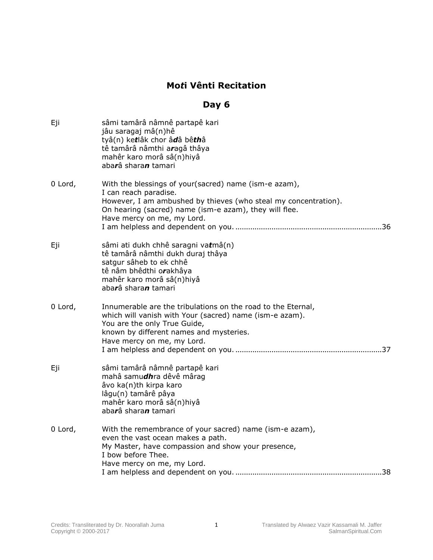## **Mo***t***i Vênti Recitation**

## **Day 6**

| Eji     | sâmi tamârâ nâmnê partapê kari<br>jâu saragaj mâ(n)hê<br>tyâ(n) ketlâk chor âdâ bêthâ<br>tê tamârâ nâmthi aragâ thâya<br>mahêr karo morâ sâ(n)hiyâ<br>abarâ sharan tamari                                                                 |
|---------|-------------------------------------------------------------------------------------------------------------------------------------------------------------------------------------------------------------------------------------------|
| 0 Lord, | With the blessings of your(sacred) name (ism-e azam),<br>I can reach paradise.<br>However, I am ambushed by thieves (who steal my concentration).<br>On hearing (sacred) name (ism-e azam), they will flee.<br>Have mercy on me, my Lord. |
| Eji     | sâmi ati dukh chhê saragni vatmâ(n)<br>tê tamârâ nâmthi dukh duraj thâya<br>satgur sâheb to ek chhê<br>tê nâm bhêdthi orakhâya<br>mahêr karo morâ sâ(n)hiyâ<br>abarâ sharan tamari                                                        |
| 0 Lord, | Innumerable are the tribulations on the road to the Eternal,<br>which will vanish with Your (sacred) name (ism-e azam).<br>You are the only True Guide,<br>known by different names and mysteries.<br>Have mercy on me, my Lord.          |
| Eji     | sâmi tamârâ nâmnê partapê kari<br>mahâ samudhra dêvê mârag<br>âvo ka(n)th kirpa karo<br>lâgu(n) tamârê pâya<br>mahêr karo morâ sâ(n)hiyâ<br>abarâ sharan tamari                                                                           |
| 0 Lord, | With the remembrance of your sacred) name (ism-e azam),<br>even the vast ocean makes a path.<br>My Master, have compassion and show your presence,<br>I bow before Thee.<br>Have mercy on me, my Lord.                                    |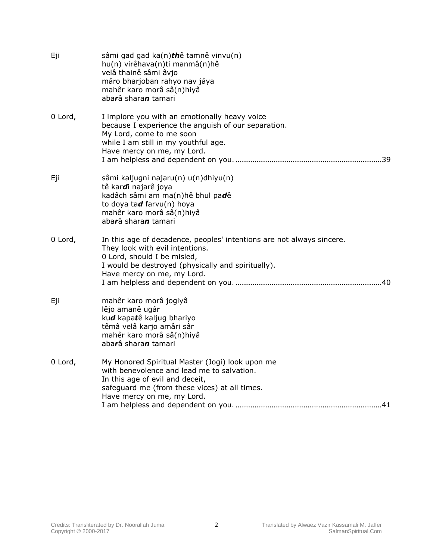| Eji     | sâmi gad gad ka(n)thê tamnê vinvu(n)<br>hu(n) virêhava(n)ti manmâ(n)hê<br>velâ thainê sâmi âvjo<br>mâro bharjoban rahyo nav jâya<br>mahêr karo morâ sâ(n)hiyâ<br>aba <b>r</b> â shara <b>n</b> tamari                       |
|---------|-----------------------------------------------------------------------------------------------------------------------------------------------------------------------------------------------------------------------------|
| 0 Lord, | I implore you with an emotionally heavy voice<br>because I experience the anguish of our separation.<br>My Lord, come to me soon<br>while I am still in my youthful age.<br>Have mercy on me, my Lord.                      |
| Eji     | sâmi kaljugni najaru(n) u(n)dhiyu(n)<br>tê kardi najarê joya<br>kadâch sâmi am ma(n)hê bhul padê<br>to doya tad farvu(n) hoya<br>mahêr karo morâ sâ(n)hiyâ<br>abarâ sharan tamari                                           |
| 0 Lord, | In this age of decadence, peoples' intentions are not always sincere.<br>They look with evil intentions.<br>0 Lord, should I be misled,<br>I would be destroyed (physically and spiritually).<br>Have mercy on me, my Lord. |
| Eji     | mahêr karo morâ jogiyâ<br>lêjo amanê ugâr<br>kud kapatê kaljug bhariyo<br>têmâ velâ karjo amâri sâr<br>mahêr karo morâ sâ(n)hiyâ<br>abarâ sharan tamari                                                                     |
| 0 Lord, | My Honored Spiritual Master (Jogi) look upon me<br>with benevolence and lead me to salvation.<br>In this age of evil and deceit,<br>safeguard me (from these vices) at all times.<br>Have mercy on me, my Lord.             |